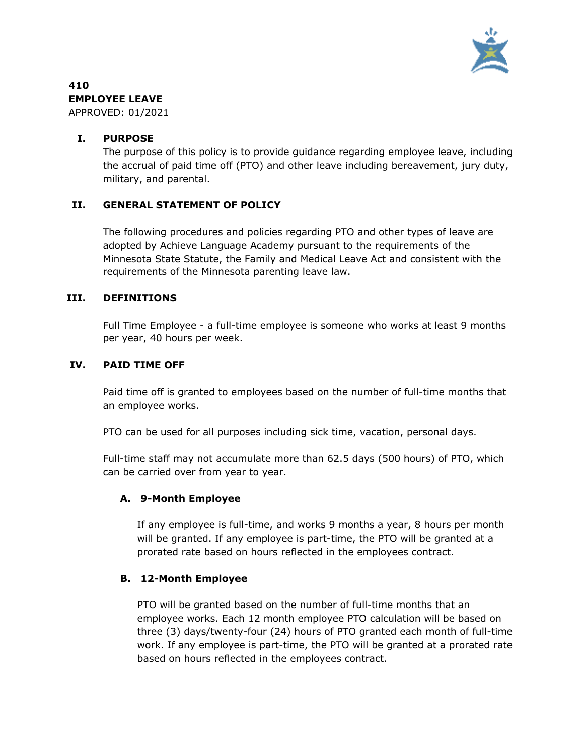

# **410 EMPLOYEE LEAVE**

APPROVED: 01/2021

# **I. PURPOSE**

The purpose of this policy is to provide guidance regarding employee leave, including the accrual of paid time off (PTO) and other leave including bereavement, jury duty, military, and parental.

# **II. GENERAL STATEMENT OF POLICY**

The following procedures and policies regarding PTO and other types of leave are adopted by Achieve Language Academy pursuant to the requirements of the Minnesota State Statute, the Family and Medical Leave Act and consistent with the requirements of the Minnesota parenting leave law.

### **III. DEFINITIONS**

Full Time Employee - a full-time employee is someone who works at least 9 months per year, 40 hours per week.

### **IV. PAID TIME OFF**

Paid time off is granted to employees based on the number of full-time months that an employee works.

PTO can be used for all purposes including sick time, vacation, personal days.

Full-time staff may not accumulate more than 62.5 days (500 hours) of PTO, which can be carried over from year to year.

# **A. 9-Month Employee**

If any employee is full-time, and works 9 months a year, 8 hours per month will be granted. If any employee is part-time, the PTO will be granted at a prorated rate based on hours reflected in the employees contract.

# **B. 12-Month Employee**

PTO will be granted based on the number of full-time months that an employee works. Each 12 month employee PTO calculation will be based on three (3) days/twenty-four (24) hours of PTO granted each month of full-time work. If any employee is part-time, the PTO will be granted at a prorated rate based on hours reflected in the employees contract.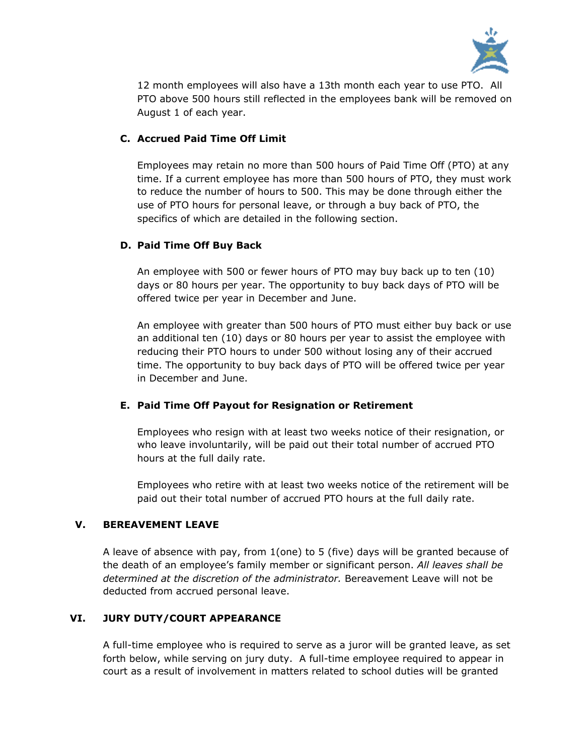

12 month employees will also have a 13th month each year to use PTO. All PTO above 500 hours still reflected in the employees bank will be removed on August 1 of each year.

# **C. Accrued Paid Time Off Limit**

Employees may retain no more than 500 hours of Paid Time Off (PTO) at any time. If a current employee has more than 500 hours of PTO, they must work to reduce the number of hours to 500. This may be done through either the use of PTO hours for personal leave, or through a buy back of PTO, the specifics of which are detailed in the following section.

### **D. Paid Time Off Buy Back**

An employee with 500 or fewer hours of PTO may buy back up to ten (10) days or 80 hours per year. The opportunity to buy back days of PTO will be offered twice per year in December and June.

An employee with greater than 500 hours of PTO must either buy back or use an additional ten (10) days or 80 hours per year to assist the employee with reducing their PTO hours to under 500 without losing any of their accrued time. The opportunity to buy back days of PTO will be offered twice per year in December and June.

# **E. Paid Time Off Payout for Resignation or Retirement**

Employees who resign with at least two weeks notice of their resignation, or who leave involuntarily, will be paid out their total number of accrued PTO hours at the full daily rate.

Employees who retire with at least two weeks notice of the retirement will be paid out their total number of accrued PTO hours at the full daily rate.

# **V. BEREAVEMENT LEAVE**

A leave of absence with pay, from 1(one) to 5 (five) days will be granted because of the death of an employee's family member or significant person. *All leaves shall be determined at the discretion of the administrator.* Bereavement Leave will not be deducted from accrued personal leave.

# **VI. JURY DUTY/COURT APPEARANCE**

A full-time employee who is required to serve as a juror will be granted leave, as set forth below, while serving on jury duty. A full-time employee required to appear in court as a result of involvement in matters related to school duties will be granted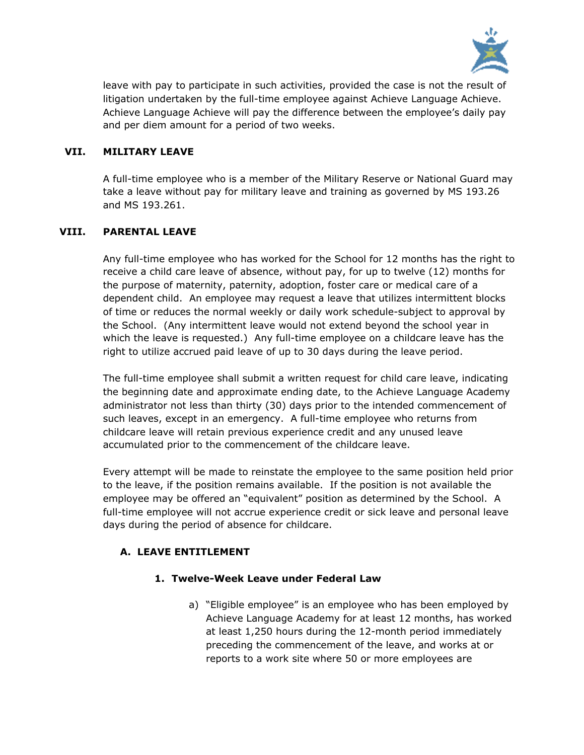

leave with pay to participate in such activities, provided the case is not the result of litigation undertaken by the full-time employee against Achieve Language Achieve. Achieve Language Achieve will pay the difference between the employee's daily pay and per diem amount for a period of two weeks.

## **VII. MILITARY LEAVE**

A full-time employee who is a member of the Military Reserve or National Guard may take a leave without pay for military leave and training as governed by MS 193.26 and MS 193.261.

### **VIII. PARENTAL LEAVE**

Any full-time employee who has worked for the School for 12 months has the right to receive a child care leave of absence, without pay, for up to twelve (12) months for the purpose of maternity, paternity, adoption, foster care or medical care of a dependent child. An employee may request a leave that utilizes intermittent blocks of time or reduces the normal weekly or daily work schedule-subject to approval by the School. (Any intermittent leave would not extend beyond the school year in which the leave is requested.) Any full-time employee on a childcare leave has the right to utilize accrued paid leave of up to 30 days during the leave period.

The full-time employee shall submit a written request for child care leave, indicating the beginning date and approximate ending date, to the Achieve Language Academy administrator not less than thirty (30) days prior to the intended commencement of such leaves, except in an emergency. A full-time employee who returns from childcare leave will retain previous experience credit and any unused leave accumulated prior to the commencement of the childcare leave.

Every attempt will be made to reinstate the employee to the same position held prior to the leave, if the position remains available. If the position is not available the employee may be offered an "equivalent" position as determined by the School. A full-time employee will not accrue experience credit or sick leave and personal leave days during the period of absence for childcare.

# **A. LEAVE ENTITLEMENT**

# **1. Twelve-Week Leave under Federal Law**

a) "Eligible employee" is an employee who has been employed by Achieve Language Academy for at least 12 months, has worked at least 1,250 hours during the 12-month period immediately preceding the commencement of the leave, and works at or reports to a work site where 50 or more employees are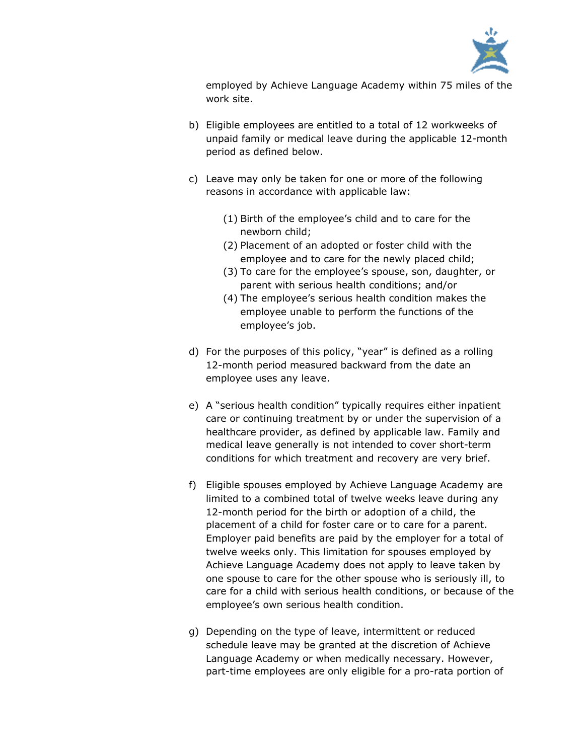

employed by Achieve Language Academy within 75 miles of the work site.

- b) Eligible employees are entitled to a total of 12 workweeks of unpaid family or medical leave during the applicable 12-month period as defined below.
- c) Leave may only be taken for one or more of the following reasons in accordance with applicable law:
	- (1) Birth of the employee's child and to care for the newborn child;
	- (2) Placement of an adopted or foster child with the employee and to care for the newly placed child;
	- (3) To care for the employee's spouse, son, daughter, or parent with serious health conditions; and/or
	- (4) The employee's serious health condition makes the employee unable to perform the functions of the employee's job.
- d) For the purposes of this policy, "year" is defined as a rolling 12-month period measured backward from the date an employee uses any leave.
- e) A "serious health condition" typically requires either inpatient care or continuing treatment by or under the supervision of a healthcare provider, as defined by applicable law. Family and medical leave generally is not intended to cover short-term conditions for which treatment and recovery are very brief.
- f) Eligible spouses employed by Achieve Language Academy are limited to a combined total of twelve weeks leave during any 12-month period for the birth or adoption of a child, the placement of a child for foster care or to care for a parent. Employer paid benefits are paid by the employer for a total of twelve weeks only. This limitation for spouses employed by Achieve Language Academy does not apply to leave taken by one spouse to care for the other spouse who is seriously ill, to care for a child with serious health conditions, or because of the employee's own serious health condition.
- g) Depending on the type of leave, intermittent or reduced schedule leave may be granted at the discretion of Achieve Language Academy or when medically necessary. However, part-time employees are only eligible for a pro-rata portion of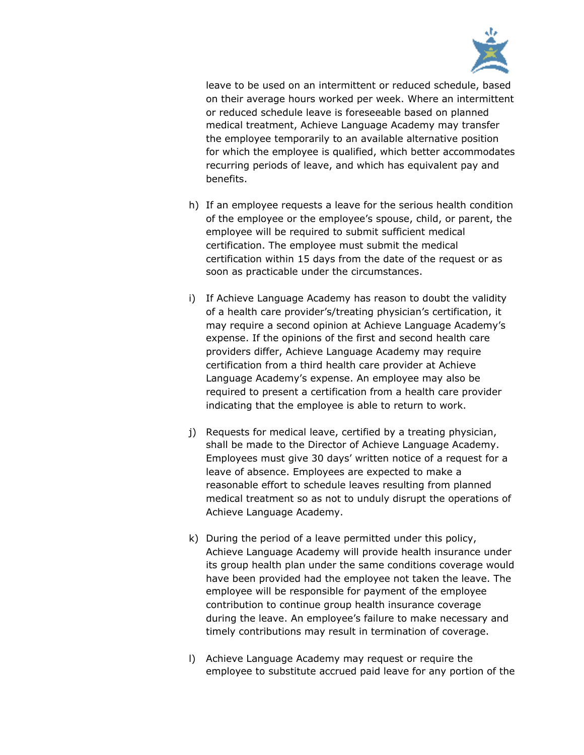

leave to be used on an intermittent or reduced schedule, based on their average hours worked per week. Where an intermittent or reduced schedule leave is foreseeable based on planned medical treatment, Achieve Language Academy may transfer the employee temporarily to an available alternative position for which the employee is qualified, which better accommodates recurring periods of leave, and which has equivalent pay and benefits.

- h) If an employee requests a leave for the serious health condition of the employee or the employee's spouse, child, or parent, the employee will be required to submit sufficient medical certification. The employee must submit the medical certification within 15 days from the date of the request or as soon as practicable under the circumstances.
- i) If Achieve Language Academy has reason to doubt the validity of a health care provider's/treating physician's certification, it may require a second opinion at Achieve Language Academy's expense. If the opinions of the first and second health care providers differ, Achieve Language Academy may require certification from a third health care provider at Achieve Language Academy's expense. An employee may also be required to present a certification from a health care provider indicating that the employee is able to return to work.
- j) Requests for medical leave, certified by a treating physician, shall be made to the Director of Achieve Language Academy. Employees must give 30 days' written notice of a request for a leave of absence. Employees are expected to make a reasonable effort to schedule leaves resulting from planned medical treatment so as not to unduly disrupt the operations of Achieve Language Academy.
- k) During the period of a leave permitted under this policy, Achieve Language Academy will provide health insurance under its group health plan under the same conditions coverage would have been provided had the employee not taken the leave. The employee will be responsible for payment of the employee contribution to continue group health insurance coverage during the leave. An employee's failure to make necessary and timely contributions may result in termination of coverage.
- l) Achieve Language Academy may request or require the employee to substitute accrued paid leave for any portion of the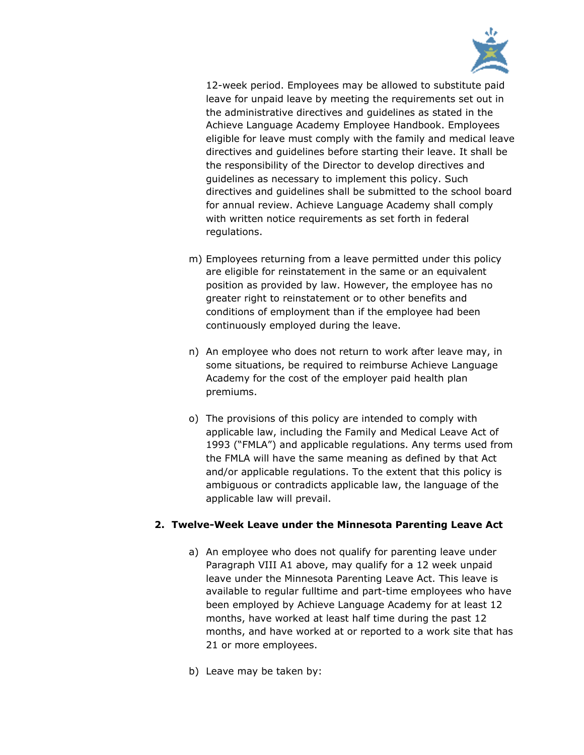

12-week period. Employees may be allowed to substitute paid leave for unpaid leave by meeting the requirements set out in the administrative directives and guidelines as stated in the Achieve Language Academy Employee Handbook. Employees eligible for leave must comply with the family and medical leave directives and guidelines before starting their leave. It shall be the responsibility of the Director to develop directives and guidelines as necessary to implement this policy. Such directives and guidelines shall be submitted to the school board for annual review. Achieve Language Academy shall comply with written notice requirements as set forth in federal regulations.

- m) Employees returning from a leave permitted under this policy are eligible for reinstatement in the same or an equivalent position as provided by law. However, the employee has no greater right to reinstatement or to other benefits and conditions of employment than if the employee had been continuously employed during the leave.
- n) An employee who does not return to work after leave may, in some situations, be required to reimburse Achieve Language Academy for the cost of the employer paid health plan premiums.
- o) The provisions of this policy are intended to comply with applicable law, including the Family and Medical Leave Act of 1993 ("FMLA") and applicable regulations. Any terms used from the FMLA will have the same meaning as defined by that Act and/or applicable regulations. To the extent that this policy is ambiguous or contradicts applicable law, the language of the applicable law will prevail.

# **2. Twelve-Week Leave under the Minnesota Parenting Leave Act**

- a) An employee who does not qualify for parenting leave under Paragraph VIII A1 above, may qualify for a 12 week unpaid leave under the Minnesota Parenting Leave Act. This leave is available to regular fulltime and part-time employees who have been employed by Achieve Language Academy for at least 12 months, have worked at least half time during the past 12 months, and have worked at or reported to a work site that has 21 or more employees.
- b) Leave may be taken by: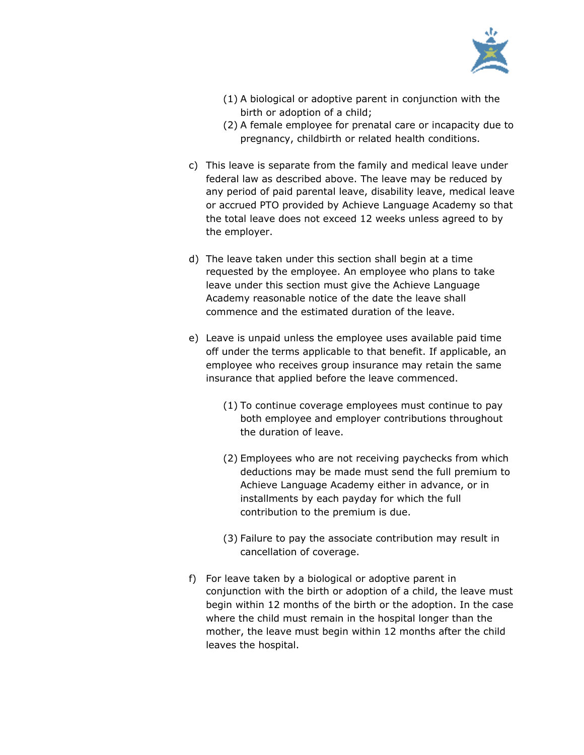

- (1) A biological or adoptive parent in conjunction with the birth or adoption of a child;
- (2) A female employee for prenatal care or incapacity due to pregnancy, childbirth or related health conditions.
- c) This leave is separate from the family and medical leave under federal law as described above. The leave may be reduced by any period of paid parental leave, disability leave, medical leave or accrued PTO provided by Achieve Language Academy so that the total leave does not exceed 12 weeks unless agreed to by the employer.
- d) The leave taken under this section shall begin at a time requested by the employee. An employee who plans to take leave under this section must give the Achieve Language Academy reasonable notice of the date the leave shall commence and the estimated duration of the leave.
- e) Leave is unpaid unless the employee uses available paid time off under the terms applicable to that benefit. If applicable, an employee who receives group insurance may retain the same insurance that applied before the leave commenced.
	- (1) To continue coverage employees must continue to pay both employee and employer contributions throughout the duration of leave.
	- (2) Employees who are not receiving paychecks from which deductions may be made must send the full premium to Achieve Language Academy either in advance, or in installments by each payday for which the full contribution to the premium is due.
	- (3) Failure to pay the associate contribution may result in cancellation of coverage.
- f) For leave taken by a biological or adoptive parent in conjunction with the birth or adoption of a child, the leave must begin within 12 months of the birth or the adoption. In the case where the child must remain in the hospital longer than the mother, the leave must begin within 12 months after the child leaves the hospital.